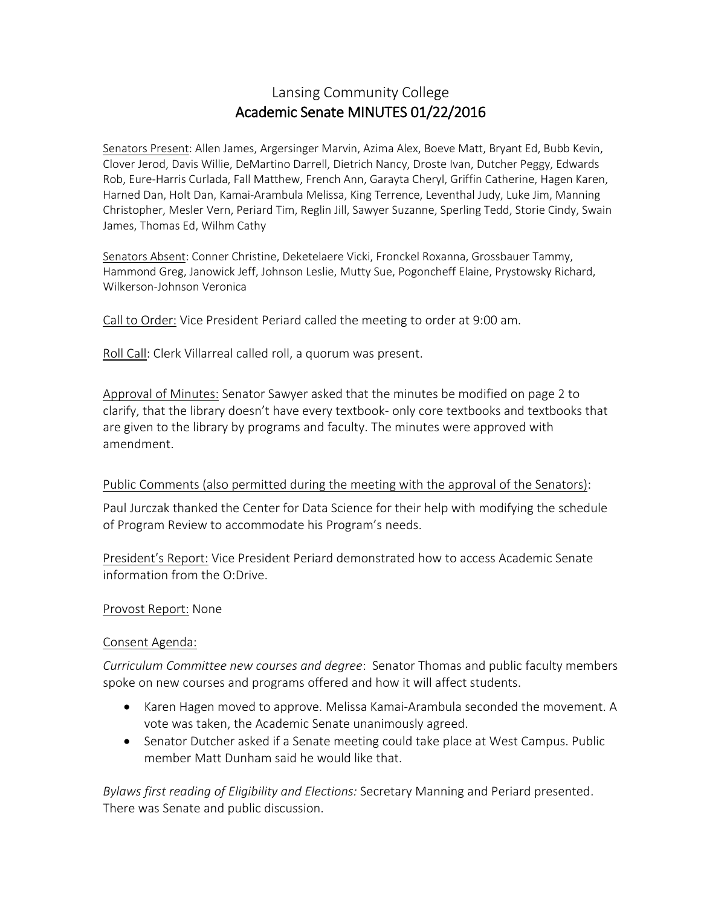# Lansing Community College Academic Senate MINUTES 01/22/2016

Senators Present: Allen James, Argersinger Marvin, Azima Alex, Boeve Matt, Bryant Ed, Bubb Kevin, Clover Jerod, Davis Willie, DeMartino Darrell, Dietrich Nancy, Droste Ivan, Dutcher Peggy, Edwards Rob, Eure-Harris Curlada, Fall Matthew, French Ann, Garayta Cheryl, Griffin Catherine, Hagen Karen, Harned Dan, Holt Dan, Kamai-Arambula Melissa, King Terrence, Leventhal Judy, Luke Jim, Manning Christopher, Mesler Vern, Periard Tim, Reglin Jill, Sawyer Suzanne, Sperling Tedd, Storie Cindy, Swain James, Thomas Ed, Wilhm Cathy

Senators Absent: Conner Christine, Deketelaere Vicki, Fronckel Roxanna, Grossbauer Tammy, Hammond Greg, Janowick Jeff, Johnson Leslie, Mutty Sue, Pogoncheff Elaine, Prystowsky Richard, Wilkerson-Johnson Veronica

Call to Order: Vice President Periard called the meeting to order at 9:00 am.

Roll Call: Clerk Villarreal called roll, a quorum was present.

Approval of Minutes: Senator Sawyer asked that the minutes be modified on page 2 to clarify, that the library doesn't have every textbook- only core textbooks and textbooks that are given to the library by programs and faculty. The minutes were approved with amendment.

### Public Comments (also permitted during the meeting with the approval of the Senators):

Paul Jurczak thanked the Center for Data Science for their help with modifying the schedule of Program Review to accommodate his Program's needs.

President's Report: Vice President Periard demonstrated how to access Academic Senate information from the O:Drive.

### Provost Report: None

### Consent Agenda:

*Curriculum Committee new courses and degree*: Senator Thomas and public faculty members spoke on new courses and programs offered and how it will affect students.

- Karen Hagen moved to approve. Melissa Kamai-Arambula seconded the movement. A vote was taken, the Academic Senate unanimously agreed.
- Senator Dutcher asked if a Senate meeting could take place at West Campus. Public member Matt Dunham said he would like that.

*Bylaws first reading of Eligibility and Elections:* Secretary Manning and Periard presented. There was Senate and public discussion.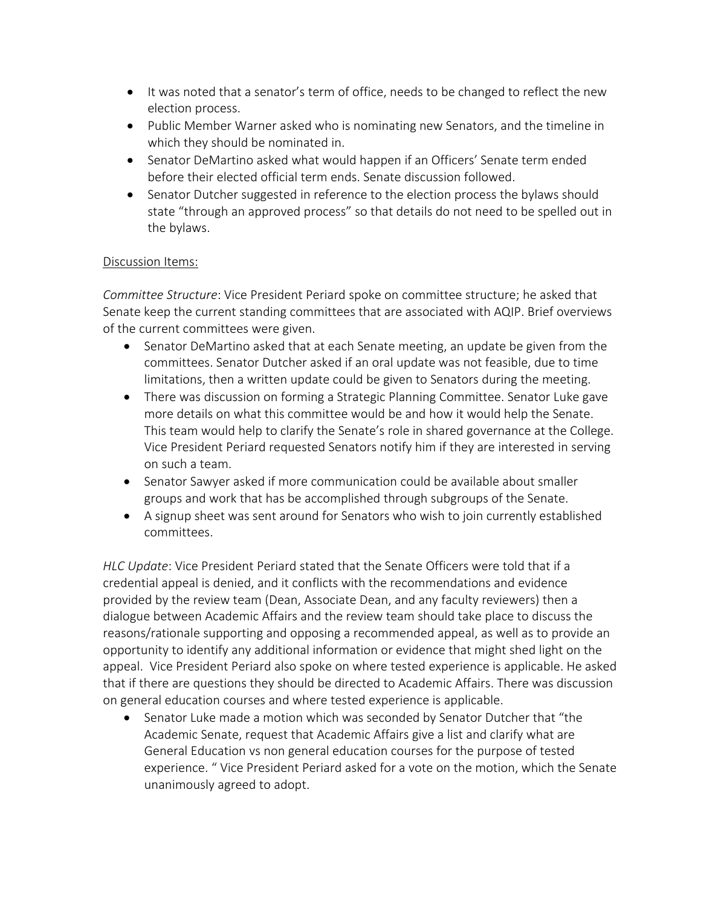- It was noted that a senator's term of office, needs to be changed to reflect the new election process.
- Public Member Warner asked who is nominating new Senators, and the timeline in which they should be nominated in.
- Senator DeMartino asked what would happen if an Officers' Senate term ended before their elected official term ends. Senate discussion followed.
- Senator Dutcher suggested in reference to the election process the bylaws should state "through an approved process" so that details do not need to be spelled out in the bylaws.

## Discussion Items:

*Committee Structure*: Vice President Periard spoke on committee structure; he asked that Senate keep the current standing committees that are associated with AQIP. Brief overviews of the current committees were given.

- Senator DeMartino asked that at each Senate meeting, an update be given from the committees. Senator Dutcher asked if an oral update was not feasible, due to time limitations, then a written update could be given to Senators during the meeting.
- There was discussion on forming a Strategic Planning Committee. Senator Luke gave more details on what this committee would be and how it would help the Senate. This team would help to clarify the Senate's role in shared governance at the College. Vice President Periard requested Senators notify him if they are interested in serving on such a team.
- Senator Sawyer asked if more communication could be available about smaller groups and work that has be accomplished through subgroups of the Senate.
- A signup sheet was sent around for Senators who wish to join currently established committees.

*HLC Update*: Vice President Periard stated that the Senate Officers were told that if a credential appeal is denied, and it conflicts with the recommendations and evidence provided by the review team (Dean, Associate Dean, and any faculty reviewers) then a dialogue between Academic Affairs and the review team should take place to discuss the reasons/rationale supporting and opposing a recommended appeal, as well as to provide an opportunity to identify any additional information or evidence that might shed light on the appeal. Vice President Periard also spoke on where tested experience is applicable. He asked that if there are questions they should be directed to Academic Affairs. There was discussion on general education courses and where tested experience is applicable.

• Senator Luke made a motion which was seconded by Senator Dutcher that "the Academic Senate, request that Academic Affairs give a list and clarify what are General Education vs non general education courses for the purpose of tested experience. " Vice President Periard asked for a vote on the motion, which the Senate unanimously agreed to adopt.